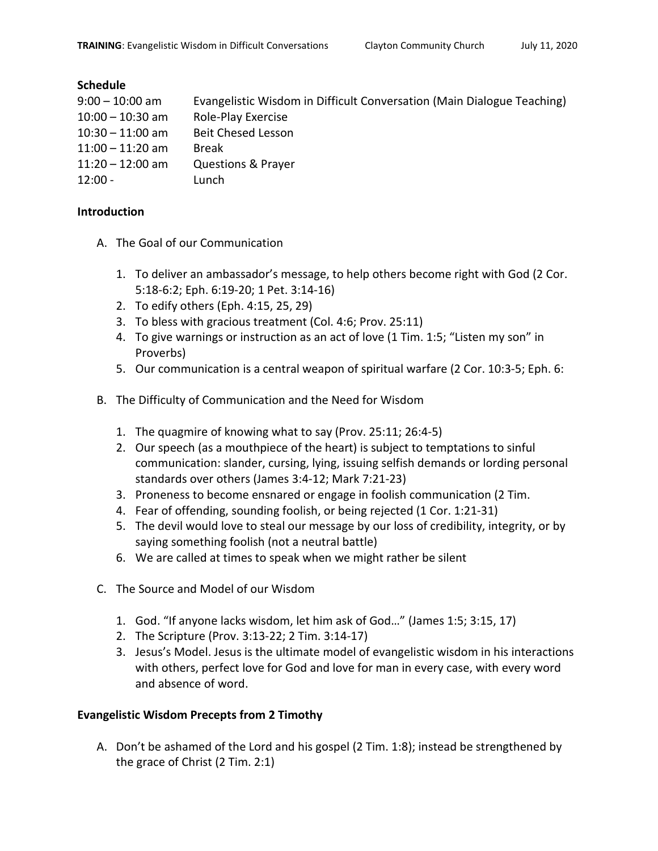## **Schedule**

| $9:00 - 10:00$ am  | Evangelistic Wisdom in Difficult Conversation (Main Dialogue Teaching) |
|--------------------|------------------------------------------------------------------------|
| $10:00 - 10:30$ am | Role-Play Exercise                                                     |
| $10:30 - 11:00$ am | <b>Beit Chesed Lesson</b>                                              |
| $11:00 - 11:20$ am | <b>Break</b>                                                           |
| $11:20 - 12:00$ am | <b>Questions &amp; Prayer</b>                                          |
| $12:00 -$          | Lunch                                                                  |

## **Introduction**

- A. The Goal of our Communication
	- 1. To deliver an ambassador's message, to help others become right with God (2 Cor. 5:18-6:2; Eph. 6:19-20; 1 Pet. 3:14-16)
	- 2. To edify others (Eph. 4:15, 25, 29)
	- 3. To bless with gracious treatment (Col. 4:6; Prov. 25:11)
	- 4. To give warnings or instruction as an act of love (1 Tim. 1:5; "Listen my son" in Proverbs)
	- 5. Our communication is a central weapon of spiritual warfare (2 Cor. 10:3-5; Eph. 6:
- B. The Difficulty of Communication and the Need for Wisdom
	- 1. The quagmire of knowing what to say (Prov. 25:11; 26:4-5)
	- 2. Our speech (as a mouthpiece of the heart) is subject to temptations to sinful communication: slander, cursing, lying, issuing selfish demands or lording personal standards over others (James 3:4-12; Mark 7:21-23)
	- 3. Proneness to become ensnared or engage in foolish communication (2 Tim.
	- 4. Fear of offending, sounding foolish, or being rejected (1 Cor. 1:21-31)
	- 5. The devil would love to steal our message by our loss of credibility, integrity, or by saying something foolish (not a neutral battle)
	- 6. We are called at times to speak when we might rather be silent
- C. The Source and Model of our Wisdom
	- 1. God. "If anyone lacks wisdom, let him ask of God…" (James 1:5; 3:15, 17)
	- 2. The Scripture (Prov. 3:13-22; 2 Tim. 3:14-17)
	- 3. Jesus's Model. Jesus is the ultimate model of evangelistic wisdom in his interactions with others, perfect love for God and love for man in every case, with every word and absence of word.

## **Evangelistic Wisdom Precepts from 2 Timothy**

A. Don't be ashamed of the Lord and his gospel (2 Tim. 1:8); instead be strengthened by the grace of Christ (2 Tim. 2:1)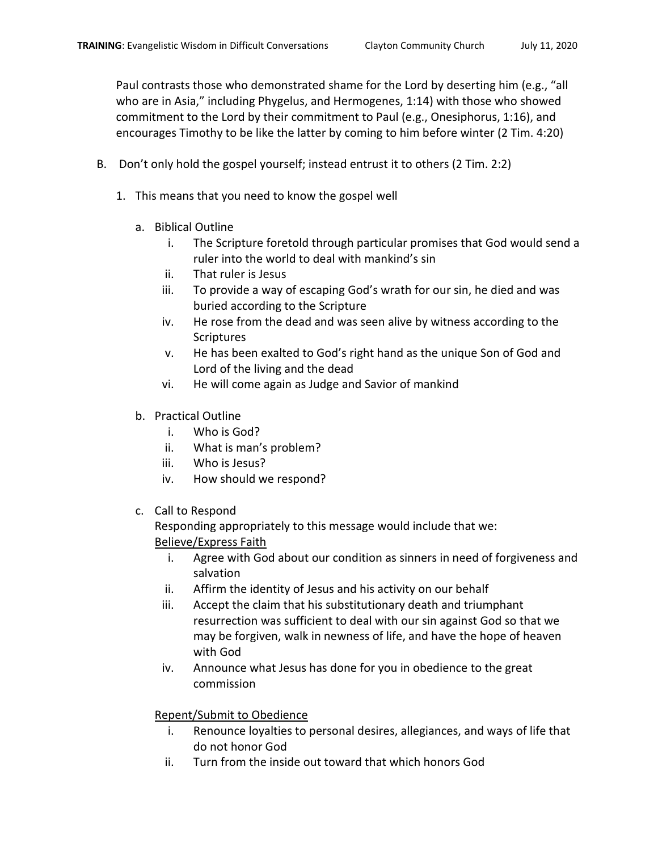Paul contrasts those who demonstrated shame for the Lord by deserting him (e.g., "all who are in Asia," including Phygelus, and Hermogenes, 1:14) with those who showed commitment to the Lord by their commitment to Paul (e.g., Onesiphorus, 1:16), and encourages Timothy to be like the latter by coming to him before winter (2 Tim. 4:20)

- B. Don't only hold the gospel yourself; instead entrust it to others (2 Tim. 2:2)
	- 1. This means that you need to know the gospel well
		- a. Biblical Outline
			- i. The Scripture foretold through particular promises that God would send a ruler into the world to deal with mankind's sin
			- ii. That ruler is Jesus
			- iii. To provide a way of escaping God's wrath for our sin, he died and was buried according to the Scripture
			- iv. He rose from the dead and was seen alive by witness according to the Scriptures
			- v. He has been exalted to God's right hand as the unique Son of God and Lord of the living and the dead
			- vi. He will come again as Judge and Savior of mankind
		- b. Practical Outline
			- i. Who is God?
			- ii. What is man's problem?
			- iii. Who is Jesus?
			- iv. How should we respond?
		- c. Call to Respond

Responding appropriately to this message would include that we: Believe/Express Faith

- i. Agree with God about our condition as sinners in need of forgiveness and salvation
- ii. Affirm the identity of Jesus and his activity on our behalf
- iii. Accept the claim that his substitutionary death and triumphant resurrection was sufficient to deal with our sin against God so that we may be forgiven, walk in newness of life, and have the hope of heaven with God
- iv. Announce what Jesus has done for you in obedience to the great commission

## Repent/Submit to Obedience

- i. Renounce loyalties to personal desires, allegiances, and ways of life that do not honor God
- ii. Turn from the inside out toward that which honors God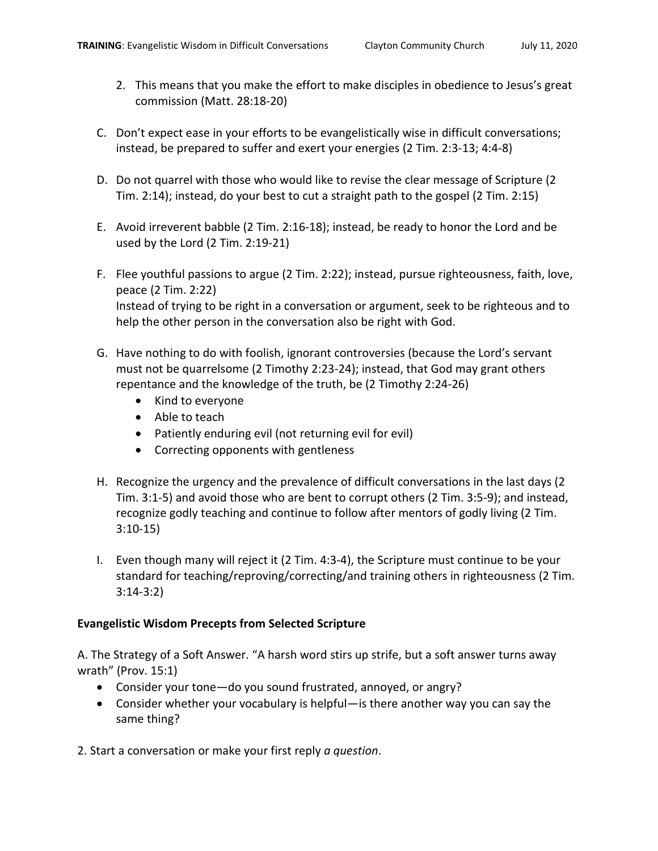- C. Don't expect ease in your efforts to be evangelistically wise in difficult conversations; instead, be prepared to suffer and exert your energies (2 Tim. 2:3-13; 4:4-8)
- D. Do not quarrel with those who would like to revise the clear message of Scripture (2 Tim. 2:14); instead, do your best to cut a straight path to the gospel (2 Tim. 2:15)
- E. Avoid irreverent babble (2 Tim. 2:16-18); instead, be ready to honor the Lord and be used by the Lord (2 Tim. 2:19-21)
- F. Flee youthful passions to argue (2 Tim. 2:22); instead, pursue righteousness, faith, love, peace (2 Tim. 2:22) Instead of trying to be right in a conversation or argument, seek to be righteous and to help the other person in the conversation also be right with God.
- G. Have nothing to do with foolish, ignorant controversies (because the Lord's servant must not be quarrelsome (2 Timothy 2:23-24); instead, that God may grant others repentance and the knowledge of the truth, be (2 Timothy 2:24-26)
	- Kind to everyone
	- Able to teach
	- Patiently enduring evil (not returning evil for evil)
	- Correcting opponents with gentleness
- H. Recognize the urgency and the prevalence of difficult conversations in the last days (2 Tim. 3:1-5) and avoid those who are bent to corrupt others (2 Tim. 3:5-9); and instead, recognize godly teaching and continue to follow after mentors of godly living (2 Tim. 3:10-15)
- I. Even though many will reject it (2 Tim. 4:3-4), the Scripture must continue to be your standard for teaching/reproving/correcting/and training others in righteousness (2 Tim. 3:14-3:2)

# **Evangelistic Wisdom Precepts from Selected Scripture**

A. The Strategy of a Soft Answer. "A harsh word stirs up strife, but a soft answer turns away wrath" (Prov. 15:1)

- Consider your tone—do you sound frustrated, annoyed, or angry?
- Consider whether your vocabulary is helpful—is there another way you can say the same thing?
- 2. Start a conversation or make your first reply *a question*.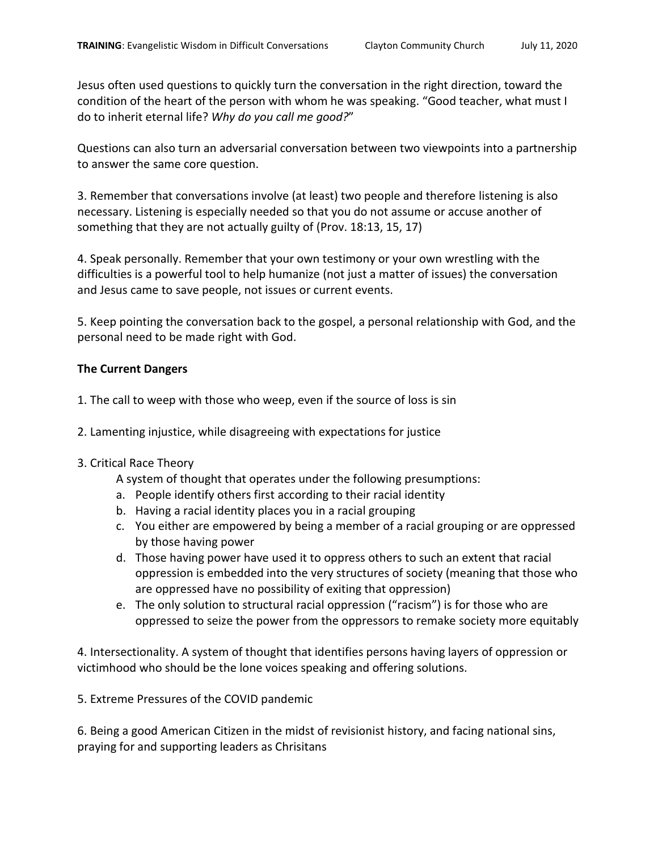Jesus often used questions to quickly turn the conversation in the right direction, toward the condition of the heart of the person with whom he was speaking. "Good teacher, what must I do to inherit eternal life? *Why do you call me good?*"

Questions can also turn an adversarial conversation between two viewpoints into a partnership to answer the same core question.

3. Remember that conversations involve (at least) two people and therefore listening is also necessary. Listening is especially needed so that you do not assume or accuse another of something that they are not actually guilty of (Prov. 18:13, 15, 17)

4. Speak personally. Remember that your own testimony or your own wrestling with the difficulties is a powerful tool to help humanize (not just a matter of issues) the conversation and Jesus came to save people, not issues or current events.

5. Keep pointing the conversation back to the gospel, a personal relationship with God, and the personal need to be made right with God.

## **The Current Dangers**

- 1. The call to weep with those who weep, even if the source of loss is sin
- 2. Lamenting injustice, while disagreeing with expectations for justice

## 3. Critical Race Theory

A system of thought that operates under the following presumptions:

- a. People identify others first according to their racial identity
- b. Having a racial identity places you in a racial grouping
- c. You either are empowered by being a member of a racial grouping or are oppressed by those having power
- d. Those having power have used it to oppress others to such an extent that racial oppression is embedded into the very structures of society (meaning that those who are oppressed have no possibility of exiting that oppression)
- e. The only solution to structural racial oppression ("racism") is for those who are oppressed to seize the power from the oppressors to remake society more equitably

4. Intersectionality. A system of thought that identifies persons having layers of oppression or victimhood who should be the lone voices speaking and offering solutions.

5. Extreme Pressures of the COVID pandemic

6. Being a good American Citizen in the midst of revisionist history, and facing national sins, praying for and supporting leaders as Chrisitans